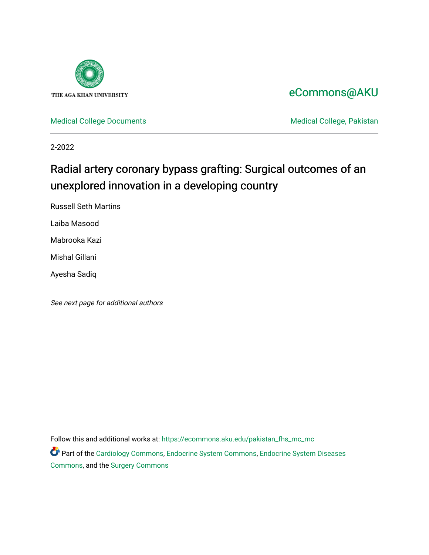

# [eCommons@AKU](https://ecommons.aku.edu/)

[Medical College Documents](https://ecommons.aku.edu/pakistan_fhs_mc_mc) **Medical College, Pakistan** 

2-2022

# Radial artery coronary bypass grafting: Surgical outcomes of an unexplored innovation in a developing country

Russell Seth Martins

Laiba Masood

Mabrooka Kazi

Mishal Gillani

Ayesha Sadiq

See next page for additional authors

Follow this and additional works at: [https://ecommons.aku.edu/pakistan\\_fhs\\_mc\\_mc](https://ecommons.aku.edu/pakistan_fhs_mc_mc?utm_source=ecommons.aku.edu%2Fpakistan_fhs_mc_mc%2F260&utm_medium=PDF&utm_campaign=PDFCoverPages)  Part of the [Cardiology Commons](http://network.bepress.com/hgg/discipline/683?utm_source=ecommons.aku.edu%2Fpakistan_fhs_mc_mc%2F260&utm_medium=PDF&utm_campaign=PDFCoverPages), [Endocrine System Commons](http://network.bepress.com/hgg/discipline/973?utm_source=ecommons.aku.edu%2Fpakistan_fhs_mc_mc%2F260&utm_medium=PDF&utm_campaign=PDFCoverPages), [Endocrine System Diseases](http://network.bepress.com/hgg/discipline/969?utm_source=ecommons.aku.edu%2Fpakistan_fhs_mc_mc%2F260&utm_medium=PDF&utm_campaign=PDFCoverPages) 

[Commons](http://network.bepress.com/hgg/discipline/969?utm_source=ecommons.aku.edu%2Fpakistan_fhs_mc_mc%2F260&utm_medium=PDF&utm_campaign=PDFCoverPages), and the [Surgery Commons](http://network.bepress.com/hgg/discipline/706?utm_source=ecommons.aku.edu%2Fpakistan_fhs_mc_mc%2F260&utm_medium=PDF&utm_campaign=PDFCoverPages)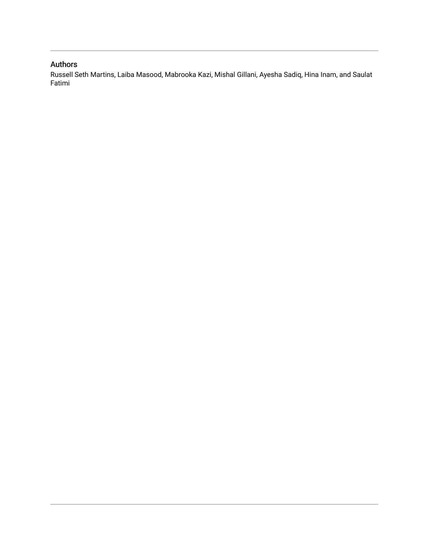### Authors

Russell Seth Martins, Laiba Masood, Mabrooka Kazi, Mishal Gillani, Ayesha Sadiq, Hina Inam, and Saulat Fatimi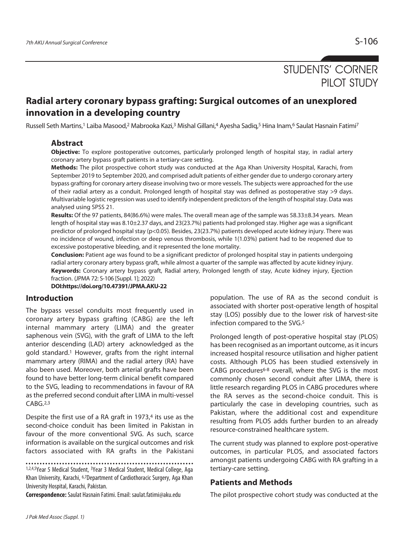# STUDENTS' CORNER PILOT STUDY

## **Radial artery coronary bypass grafting: Surgical outcomes of an unexplored innovation in a developing country**

Russell Seth Martins,1 Laiba Masood,2 Mabrooka Kazi,3 Mishal Gillani,4 Ayesha Sadiq,5 Hina Inam,6 Saulat Hasnain Fatimi7

### **Abstract**

**Objective:** To explore postoperative outcomes, particularly prolonged length of hospital stay, in radial artery coronary artery bypass graft patients in a tertiary-care setting.

**Methods:** The pilot prospective cohort study was conducted at the Aga Khan University Hospital, Karachi, from September 2019 to September 2020, and comprised adult patients of either gender due to undergo coronary artery bypass grafting for coronary artery disease involving two or more vessels. The subjects were approached for the use of their radial artery as a conduit. Prolonged length of hospital stay was defined as postoperative stay >9 days. Multivariable logistic regression was used to identify independent predictors of the length of hospital stay. Data was analysed using SPSS 21.

**Results:** Of the 97 patients, 84(86.6%) were males. The overall mean age of the sample was 58.33±8.34 years. Mean length of hospital stay was 8.10±2.37 days, and 23(23.7%) patients had prolonged stay. Higher age was a significant predictor of prolonged hospital stay (p<0.05). Besides, 23(23.7%) patients developed acute kidney injury. There was no incidence of wound, infection or deep venous thrombosis, while 1(1.03%) patient had to be reopened due to excessive postoperative bleeding, and it represented the lone mortality.

**Conclusion:** Patient age was found to be a significant predictor of prolonged hospital stay in patients undergoing radial artery coronary artery bypass graft, while almost a quarter of the sample was affected by acute kidney injury. **Keywords:** Coronary artery bypass graft, Radial artery, Prolonged length of stay, Acute kidney injury, Ejection fraction. (JPMA 72: S-106 [Suppl. 1]; 2022)

**DOI:https://doi.org/10.47391/JPMA.AKU-22** 

### **Introduction**

The bypass vessel conduits most frequently used in coronary artery bypass grafting (CABG) are the left internal mammary artery (LIMA) and the greater saphenous vein (SVG), with the graft of LIMA to the left anterior descending (LAD) artery acknowledged as the gold standard.1 However, grafts from the right internal mammary artery (RIMA) and the radial artery (RA) have also been used. Moreover, both arterial grafts have been found to have better long-term clinical benefit compared to the SVG, leading to recommendations in favour of RA as the preferred second conduit after LIMA in multi-vessel CABG.2,3

Despite the first use of a RA graft in  $1973<sup>4</sup>$  its use as the second-choice conduit has been limited in Pakistan in favour of the more conventional SVG. As such, scarce information is available on the surgical outcomes and risk factors associated with RA grafts in the Pakistani

1,2,4,5Year 5 Medical Student, 3Year 3 Medical Student, Medical College, Aga Khan University, Karachi, 6,7Department of Cardiothoracic Surgery, Aga Khan University Hospital, Karachi, Pakistan.

**Correspondence:** Saulat Hasnain Fatimi. Email: saulat.fatimi@aku.edu

population. The use of RA as the second conduit is associated with shorter post-operative length of hospital stay (LOS) possibly due to the lower risk of harvest-site infection compared to the SVG.5

Prolonged length of post-operative hospital stay (PLOS) has been recognised as an important outcome, as it incurs increased hospital resource utilisation and higher patient costs. Although PLOS has been studied extensively in CABG procedures<sup>6-8</sup> overall, where the SVG is the most commonly chosen second conduit after LIMA, there is little research regarding PLOS in CABG procedures where the RA serves as the second-choice conduit. This is particularly the case in developing countries, such as Pakistan, where the additional cost and expenditure resulting from PLOS adds further burden to an already resource-constrained healthcare system.

The current study was planned to explore post-operative outcomes, in particular PLOS, and associated factors amongst patients undergoing CABG with RA grafting in a tertiary-care setting.

### **Patients and Methods**

The pilot prospective cohort study was conducted at the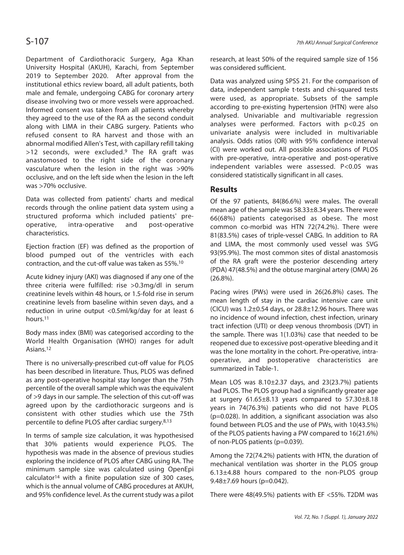Department of Cardiothoracic Surgery, Aga Khan University Hospital (AKUH), Karachi, from September 2019 to September 2020. After approval from the institutional ethics review board, all adult patients, both male and female, undergoing CABG for coronary artery disease involving two or more vessels were approached. Informed consent was taken from all patients whereby they agreed to the use of the RA as the second conduit along with LIMA in their CABG surgery. Patients who refused consent to RA harvest and those with an abnormal modified Allen's Test, with capillary refill taking >12 seconds, were excluded.9 The RA graft was anastomosed to the right side of the coronary vasculature when the lesion in the right was >90% occlusive, and on the left side when the lesion in the left was >70% occlusive.

Data was collected from patients' charts and medical records through the online patient data system using a structured proforma which included patients' preoperative, intra-operative and post-operative characteristics.

Ejection fraction (EF) was defined as the proportion of blood pumped out of the ventricles with each contraction, and the cut-off value was taken as 55%.10

Acute kidney injury (AKI) was diagnosed if any one of the three criteria were fulfilled: rise >0.3mg/dl in serum creatinine levels within 48 hours, or 1.5-fold rise in serum creatinine levels from baseline within seven days, and a reduction in urine output <0.5ml/kg/day for at least 6 hours.11

Body mass index (BMI) was categorised according to the World Health Organisation (WHO) ranges for adult Asians.12

There is no universally-prescribed cut-off value for PLOS has been described in literature. Thus, PLOS was defined as any post-operative hospital stay longer than the 75th percentile of the overall sample which was the equivalent of >9 days in our sample. The selection of this cut-off was agreed upon by the cardiothoracic surgeons and is consistent with other studies which use the 75th percentile to define PLOS after cardiac surgery.8,13

In terms of sample size calculation, it was hypothesised that 30% patients would experience PLOS. The hypothesis was made in the absence of previous studies exploring the incidence of PLOS after CABG using RA. The minimum sample size was calculated using OpenEpi calculator14 with a finite population size of 300 cases, which is the annual volume of CABG procedures at AKUH, and 95% confidence level. As the current study was a pilot research, at least 50% of the required sample size of 156 was considered sufficient.

Data was analyzed using SPSS 21. For the comparison of data, independent sample t-tests and chi-squared tests were used, as appropriate. Subsets of the sample according to pre-existing hypertension (HTN) were also analysed. Univariable and multivariable regression analyses were performed. Factors with p<0.25 on univariate analysis were included in multivariable analysis. Odds ratios (OR) with 95% confidence interval (CI) were worked out. All possible associations of PLOS with pre-operative, intra-operative and post-operative independent variables were assessed. P<0.05 was considered statistically significant in all cases.

### **Results**

Of the 97 patients, 84(86.6%) were males. The overall mean age of the sample was 58.33±8.34 years. There were 66(68%) patients categorised as obese. The most common co-morbid was HTN 72(74.2%). There were 81(83.5%) cases of triple-vessel CABG. In addition to RA and LIMA, the most commonly used vessel was SVG 93(95.9%). The most common sites of distal anastomosis of the RA graft were the posterior descending artery (PDA) 47(48.5%) and the obtuse marginal artery (OMA) 26 (26.8%).

Pacing wires (PWs) were used in 26(26.8%) cases. The mean length of stay in the cardiac intensive care unit (CICU) was  $1.2\pm0.54$  days, or  $28.8\pm12.96$  hours. There was no incidence of wound infection, chest infection, urinary tract infection (UTI) or deep venous thrombosis (DVT) in the sample. There was 1(1.03%) case that needed to be reopened due to excessive post-operative bleeding and it was the lone mortality in the cohort. Pre-operative, intraoperative, and postoperative characteristics are summarized in Table-1.

Mean LOS was 8.10±2.37 days, and 23(23.7%) patients had PLOS. The PLOS group had a significantly greater age at surgery 61.65±8.13 years compared to 57.30±8.18 years in 74(76.3%) patients who did not have PLOS (p=0.028). In addition, a significant association was also found between PLOS and the use of PWs, with 10(43.5%) of the PLOS patients having a PW compared to 16(21.6%) of non-PLOS patients (p=0.039).

Among the 72(74.2%) patients with HTN, the duration of mechanical ventilation was shorter in the PLOS group 6.13±4.88 hours compared to the non-PLOS group 9.48±7.69 hours (p=0.042).

There were 48(49.5%) patients with EF <55%. T2DM was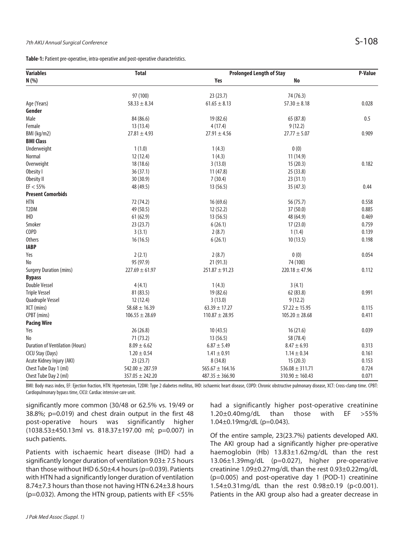**Table-1:** Patient pre-operative, intra-operative and post-operative characteristics.

| <b>Variables</b>                       | <b>Total</b>                 | <b>Prolonged Length of Stay</b> |                               | <b>P-Value</b> |
|----------------------------------------|------------------------------|---------------------------------|-------------------------------|----------------|
| N (%)                                  |                              | Yes                             | No                            |                |
|                                        |                              |                                 |                               |                |
| Age (Years)                            | 97 (100)<br>$58.33 \pm 8.34$ | 23(23.7)<br>$61.65 \pm 8.13$    | 74 (76.3)<br>$57.30 \pm 8.18$ | 0.028          |
| Gender                                 |                              |                                 |                               |                |
| Male                                   | 84 (86.6)                    | 19 (82.6)                       | 65 (87.8)                     | 0.5            |
| Female                                 | 13(13.4)                     | 4(17.4)                         | 9(12.2)                       |                |
|                                        | $27.81 \pm 4.93$             | $27.91 \pm 4.56$                | $27.77 \pm 5.07$              | 0.909          |
| BMI (kg/m2)<br><b>BMI Class</b>        |                              |                                 |                               |                |
|                                        | 1(1.0)                       |                                 | 0(0)                          |                |
| Underweight                            |                              | 1(4.3)                          |                               |                |
| Normal                                 | 12 (12.4)                    | 1(4.3)                          | 11 (14.9)                     | 0.182          |
| Overweight                             | 18 (18.6)                    | 3(13.0)                         | 15(20.3)                      |                |
| Obesity I                              | 36(37.1)                     | 11(47.8)                        | 25 (33.8)                     |                |
| Obesity II                             | 30(30.9)                     | 7(30.4)                         | 23(31.1)                      |                |
| EF < 55%                               | 48 (49.5)                    | 13(56.5)                        | 35 (47.3)                     | 0.44           |
| <b>Present Comorbids</b>               |                              |                                 |                               |                |
| <b>HTN</b>                             | 72 (74.2)                    | 16(69.6)                        | 56 (75.7)                     | 0.558          |
| T2DM                                   | 49 (50.5)                    | 12(52.2)                        | 37(50.0)                      | 0.885          |
| <b>IHD</b>                             | 61(62.9)                     | 13(56.5)                        | 48 (64.9)                     | 0.469          |
| Smoker                                 | 23(23.7)                     | 6(26.1)                         | 17(23.0)                      | 0.759          |
| COPD                                   | 3(3.1)                       | 2(8.7)                          | 1(1.4)                        | 0.139          |
| <b>Others</b>                          | 16(16.5)                     | 6(26.1)                         | 10(13.5)                      | 0.198          |
| <b>IABP</b>                            |                              |                                 |                               |                |
| Yes                                    | 2(2.1)                       | 2(8.7)                          | 0(0)                          | 0.054          |
| No                                     | 95 (97.9)                    | 21 (91.3)                       | 74 (100)                      |                |
| <b>Surgery Duration (mins)</b>         | $227.69 \pm 61.97$           | $251.87 \pm 91.23$              | $220.18 \pm 47.96$            | 0.112          |
| <b>Bypass</b>                          |                              |                                 |                               |                |
| <b>Double Vessel</b>                   | 4(4.1)                       | 1(4.3)                          | 3(4.1)                        |                |
| <b>Triple Vessel</b>                   | 81 (83.5)                    | 19 (82.6)                       | 62 (83.8)                     | 0.991          |
| Quadruple Vessel                       | 12 (12.4)                    | 3(13.0)                         | 9(12.2)                       |                |
| XCT (mins)                             | $58.68 \pm 16.39$            | $63.39 \pm 17.27$               | $57.22 \pm 15.95$             | 0.115          |
| CPBT (mins)                            | $106.55 \pm 28.69$           | $110.87 \pm 28.95$              | $105.20 \pm 28.68$            | 0.411          |
| <b>Pacing Wire</b>                     |                              |                                 |                               |                |
| Yes                                    | 26 (26.8)                    | 10(43.5)                        | 16(21.6)                      | 0.039          |
| No                                     | 71(73.2)                     | 13(56.5)                        | 58 (78.4)                     |                |
| <b>Duration of Ventilation (Hours)</b> | $8.09 \pm 6.62$              | $6.87 \pm 5.49$                 | $8.47 \pm 6.93$               | 0.313          |
| CICU Stay (Days)                       | $1.20 \pm 0.54$              | $1.41 \pm 0.91$                 | $1.14 \pm 0.34$               | 0.161          |
| Acute Kidney Injury (AKI)              | 23(23.7)                     | 8(34.8)                         | 15(20.3)                      | 0.153          |
| Chest Tube Day 1 (ml)                  | $542.00 \pm 287.59$          | $565.67 \pm 164.16$             | $536.08 \pm 311.71$           | 0.724          |
| Chest Tube Day 2 (ml)                  | $357.05 \pm 242.20$          | $487.35 \pm 366.90$             | $310.90 \pm 160.43$           | 0.071          |

BMI: Body mass index, EF: Ejection fraction, HTN: Hypertension, T2DM: Type 2 diabetes mellitus, IHD: ischaemic heart disease, COPD: Chronic obstructive pulmonary disease, XCT: Cross-clamp time. CPBT: Cardiopulmonary bypass time, CICU: Cardiac intensive care unit.

significantly more common (30/48 or 62.5% vs. 19/49 or 38.8%; p=0.019) and chest drain output in the first 48 post-operative hours was significantly higher (1038.53±450.13ml vs. 818.37±197.00 ml; p=0.007) in such patients.

Patients with ischaemic heart disease (IHD) had a significantly longer duration of ventilation 9.03± 7.5 hours than those without IHD 6.50±4.4 hours (p=0.039). Patients with HTN had a significantly longer duration of ventilation 8.74±7.3 hours than those not having HTN 6.24±3.8 hours (p=0.032). Among the HTN group, patients with EF <55%

had a significantly higher post-operative creatinine 1.20±0.40mg/dL than those with EF >55% 1.04±0.19mg/dL (p=0.043).

Of the entire sample, 23(23.7%) patients developed AKI. The AKI group had a significantly higher pre-operative haemoglobin (Hb) 13.83±1.62mg/dL than the rest 13.06±1.39mg/dL (p=0.027), higher pre-operative creatinine 1.09±0.27mg/dL than the rest 0.93±0.22mg/dL (p=0.005) and post-operative day 1 (POD-1) creatinine 1.54±0.31mg/dL than the rest 0.98±0.19 (p<0.001). Patients in the AKI group also had a greater decrease in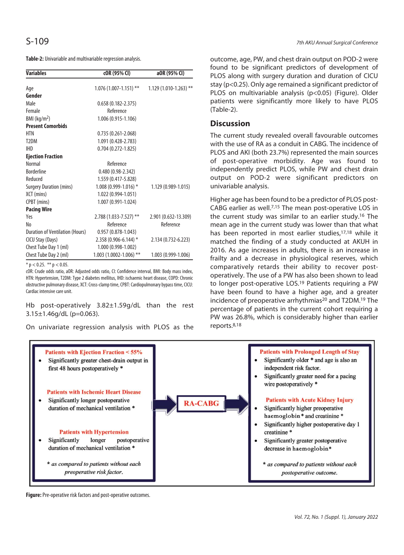**Table-2:** Univariable and multivariable regression analysis.

| <b>Variables</b>                | cOR (95% CI)               | a0R (95% CI)            |
|---------------------------------|----------------------------|-------------------------|
| Age                             | $1.076(1.007-1.151)$ **    | $1.129(1.010-1.263)$ ** |
| Gender                          |                            |                         |
| Male                            | $0.658(0.182 - 2.375)$     |                         |
| Female                          | Reference                  |                         |
| $BMl$ (kg/m <sup>2</sup> )      | 1.006 (0.915-1.106)        |                         |
| <b>Present Comorbids</b>        |                            |                         |
| HTN                             | $0.735(0.261 - 2.068)$     |                         |
| T <sub>2</sub> DM               | 1.091 (0.428-2.783)        |                         |
| <b>IHD</b>                      | $0.704(0.272 - 1.825)$     |                         |
| <b>Ejection Fraction</b>        |                            |                         |
| <b>Normal</b>                   | Reference                  |                         |
| <b>Borderline</b>               | $0.480(0.98-2.342)$        |                         |
| Reduced                         | 1.559 (0.417-5.828)        |                         |
| <b>Surgery Duration (mins)</b>  | $1.008(0.999 - 1.016)$ *   | 1.129 (0.989-1.015)     |
| XCT (mins)                      | 1.022 (0.994-1.051)        |                         |
| CPBT (mins)                     | 1.007 (0.991-1.024)        |                         |
| <b>Pacing Wire</b>              |                            |                         |
| Yes                             | 2.788 (1.033-7.527) **     | 2.901 (0.632-13.309)    |
| No                              | Reference                  | Reference               |
| Duration of Ventilation (Hours) | $0.957(0.878 - 1.043)$     |                         |
| CICU Stay (Days)                | 2.358 (0.906-6.144) *      | 2.134 (0.732-6.223)     |
| Chest Tube Day 1 (ml)           | 1.000 (0.998-1.002)        |                         |
| Chest Tube Day 2 (ml)           | $1.003(1.0002 - 1.006)$ ** | 1.003 (0.999-1.006)     |

 $*$  p < 0.25. \*\* p < 0.05.

cOR: Crude odds ratio, aOR: Adjusted odds ratio, CI: Confidence interval, BMI: Body mass index, HTN: Hypertension, T2DM: Type 2 diabetes mellitus, IHD: ischaemic heart disease, COPD: Chronic obstructive pulmonary disease, XCT: Cross-clamp time, CPBT: Cardiopulmonary bypass time, CICU: Cardiac intensive care unit.

Hb post-operatively 3.82±1.59g/dL than the rest  $3.15 \pm 1.46$ g/dL (p=0.063).

On univariate regression analysis with PLOS as the

outcome, age, PW, and chest drain output on POD-2 were found to be significant predictors of development of PLOS along with surgery duration and duration of CICU stay (p<0.25). Only age remained a significant predictor of PLOS on multivariable analysis (p<0.05) (Figure). Older patients were significantly more likely to have PLOS (Table-2).

### **Discussion**

The current study revealed overall favourable outcomes with the use of RA as a conduit in CABG. The incidence of PLOS and AKI (both 23.7%) represented the main sources of post-operative morbidity. Age was found to independently predict PLOS, while PW and chest drain output on POD-2 were significant predictors on univariable analysis.

Higher age has been found to be a predictor of PLOS post-CABG earlier as well.7,15 The mean post-operative LOS in the current study was similar to an earlier study.16 The mean age in the current study was lower than that what has been reported in most earlier studies,<sup>17,18</sup> while it matched the finding of a study conducted at AKUH in 2016. As age increases in adults, there is an increase in frailty and a decrease in physiological reserves, which comparatively retards their ability to recover postoperatively. The use of a PW has also been shown to lead to longer post-operative LOS.19 Patients requiring a PW have been found to have a higher age, and a greater incidence of preoperative arrhythmias<sup>20</sup> and T2DM.<sup>19</sup> The percentage of patients in the current cohort requiring a PW was 26.8%, which is considerably higher than earlier reports.8,18



**Figure:** Pre-operative risk factors and post-operative outcomes.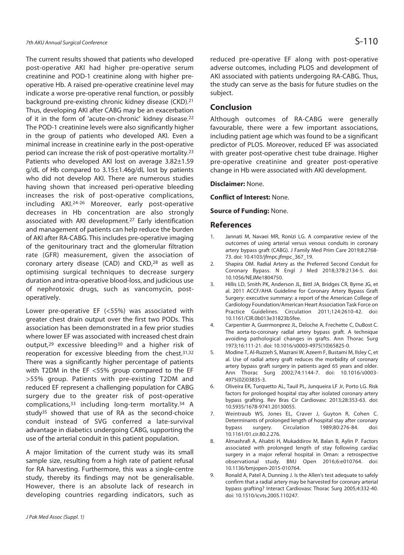The current results showed that patients who developed post-operative AKI had higher pre-operative serum creatinine and POD-1 creatinine along with higher preoperative Hb. A raised pre-operative creatinine level may indicate a worse pre-operative renal function, or possibly background pre-existing chronic kidney disease (CKD).21 Thus, developing AKI after CABG may be an exacerbation of it in the form of 'acute-on-chronic' kidney disease.22 The POD-1 creatinine levels were also significantly higher in the group of patients who developed AKI. Even a minimal increase in creatinine early in the post-operative period can increase the risk of post-operative mortality.23 Patients who developed AKI lost on average 3.82±1.59 g/dL of Hb compared to 3.15±1.46g/dL lost by patients who did not develop AKI. There are numerous studies having shown that increased peri-operative bleeding increases the risk of post-operative complications, including AKI.24-26 Moreover, early post-operative decreases in Hb concentration are also strongly associated with AKI development.27 Early identification and management of patients can help reduce the burden of AKI after RA-CABG. This includes pre-operative imaging of the genitourinary tract and the glomerular filtration rate (GFR) measurement, given the association of coronary artery disease (CAD) and CKD,28 as well as optimising surgical techniques to decrease surgery duration and intra-operative blood-loss, and judicious use of nephrotoxic drugs, such as vancomycin, postoperatively.

Lower pre-operative EF (<55%) was associated with greater chest drain output over the first two PODs. This association has been demonstrated in a few prior studies where lower EF was associated with increased chest drain output,29 excessive bleeding30 and a higher risk of reoperation for excessive bleeding from the chest.31,32 There was a significantly higher percentage of patients with T2DM in the EF <55% group compared to the EF >55% group. Patients with pre-existing T2DM and reduced EF represent a challenging population for CABG surgery due to the greater risk of post-operative complications,33 including long-term mortality.34 A study35 showed that use of RA as the second-choice conduit instead of SVG conferred a late-survival advantage in diabetics undergoing CABG, supporting the use of the arterial conduit in this patient population.

A major limitation of the current study was its small sample size, resulting from a high rate of patient refusal for RA harvesting. Furthermore, this was a single-centre study, thereby its findings may not be generalisable. However, there is an absolute lack of research in developing countries regarding indicators, such as

reduced pre-operative EF along with post-operative adverse outcomes, including PLOS and development of AKI associated with patients undergoing RA-CABG. Thus, the study can serve as the basis for future studies on the subject.

### **Conclusion**

Although outcomes of RA-CABG were generally favourable, there were a few important associations, including patient age which was found to be a significant predictor of PLOS. Moreover, reduced EF was associated with greater post-operative chest tube drainage. Higher pre-operative creatinine and greater post-operative change in Hb were associated with AKI development.

### **Disclaimer:** None.

**Conflict of Interest:** None.

### **Source of Funding:** None.

### **References**

- 1. Jannati M, Navaei MR, Ronizi LG. A comparative review of the outcomes of using arterial versus venous conduits in coronary artery bypass graft (CABG). J Family Med Prim Care 2019;8:2768- 73. doi: 10.4103/jfmpc.jfmpc\_367\_19.
- 2. Shapira OM. Radial Artery as the Preferred Second Conduit for Coronary Bypass. N Engl J Med 2018;378:2134-5. doi: 10.1056/NEJMe1804750.
- 3. Hillis LD, Smith PK, Anderson JL, Bittl JA, Bridges CR, Byrne JG, et al. 2011 ACCF/AHA Guideline for Coronary Artery Bypass Graft Surgery: executive summary: a report of the American College of Cardiology Foundation/American Heart Association Task Force on Practice Guidelines. Circulation 2011;124:2610-42. doi: 10.1161/CIR.0b013e31823b5fee.
- 4. Carpentier A, Guermonprez JL, Deloche A, Frechette C, DuBost C. The aorta-to-coronary radial artery bypass graft. A technique avoiding pathological changes in grafts. Ann Thorac Surg 1973;16:111-21. doi: 10.1016/s0003-4975(10)65825-0.
- 5. Modine T, Al-Ruzzeh S, Mazrani W, Azeem F, Bustami M, Ilsley C, et al. Use of radial artery graft reduces the morbidity of coronary artery bypass graft surgery in patients aged 65 years and older. Ann Thorac Surg 2002;74:1144-7. doi: 10.1016/s0003- 4975(02)03835-3.
- 6. Oliveira EK, Turquetto AL, Tauil PL, Junqueira LF Jr, Porto LG. Risk factors for prolonged hospital stay after isolated coronary artery bypass grafting. Rev Bras Cir Cardiovasc 2013;28:353-63. doi: 10.5935/1678-9741.20130055.
- 7. Weintraub WS, Jones EL, Craver J, Guyton R, Cohen C. Determinants of prolonged length of hospital stay after coronary bypass surgery. Circulation 1989;80:276-84. doi: 10.1161/01.cir.80.2.276.
- 8. Almashrafi A, Alsabti H, Mukaddirov M, Balan B, Aylin P. Factors associated with prolonged length of stay following cardiac surgery in a major referral hospital in Oman: a retrospective observational study. BMJ Open 2016;6:e010764. doi: 10.1136/bmjopen-2015-010764.
- 9. Ronald A, Patel A, Dunning J. Is the Allen's test adequate to safely confirm that a radial artery may be harvested for coronary arterial bypass grafting? Interact Cardiovasc Thorac Surg 2005;4:332-40. doi: 10.1510/icvts.2005.110247.